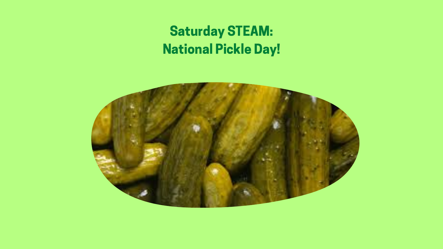### Saturday STEAM: National Pickle Day!



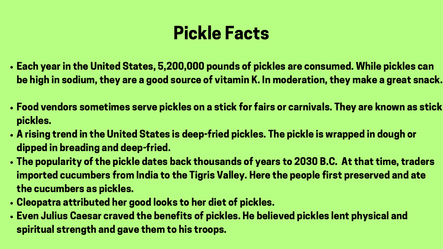- Each year in the United States, 5,200,000 pounds of pickles are consumed. While pickles can be high in sodium, they are a good source of vitamin K. In moderation, they make a great snack.
- Food vendors sometimes serve pickles on a stick for fairs or carnivals. They are known as stick pickles.
- A rising trend in the United States is deep-fried pickles. The pickle is wrapped in dough or dipped in breading and deep-fried.
- The popularity of the pickle dates back thousands of years to 2030 B.C. At that time, traders imported cucumbers from India to the Tigris Valley. Here the people first preserved and ate the cucumbers as pickles.
- Cleopatra attributed her good looks to her diet of pickles.
- Even Julius Caesar craved the benefits of pickles. He believed pickles lent physical and spiritual strength and gave them to his troops.

# Pickle Facts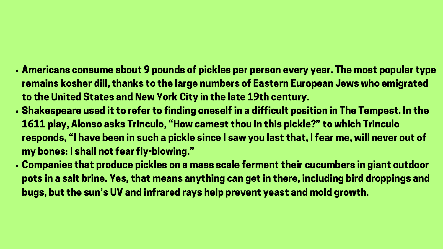- Americans consume about 9 pounds of pickles per person every year. The most popular type remains kosher dill, thanks to the large numbers of Eastern European Jews who emigrated to the United States and New York City in the late 19th century.
- Shakespeare used it to refer to finding oneself in a difficult position in The Tempest. In the 1611 play, Alonso asks Trinculo, "How camest thou in this pickle?" to which Trinculo responds, "I have been in such a pickle since I saw you last that, I fear me, will never out of my bones: I shall not fear fly-blowing. "
- Companies that produce pickles on a mass scale ferment their cucumbers in giant outdoor pots in a salt brine. Yes, that means anything can get in there, including bird droppings and bugs, but the sun's UV and infrared rays help prevent yeast and mold growth.